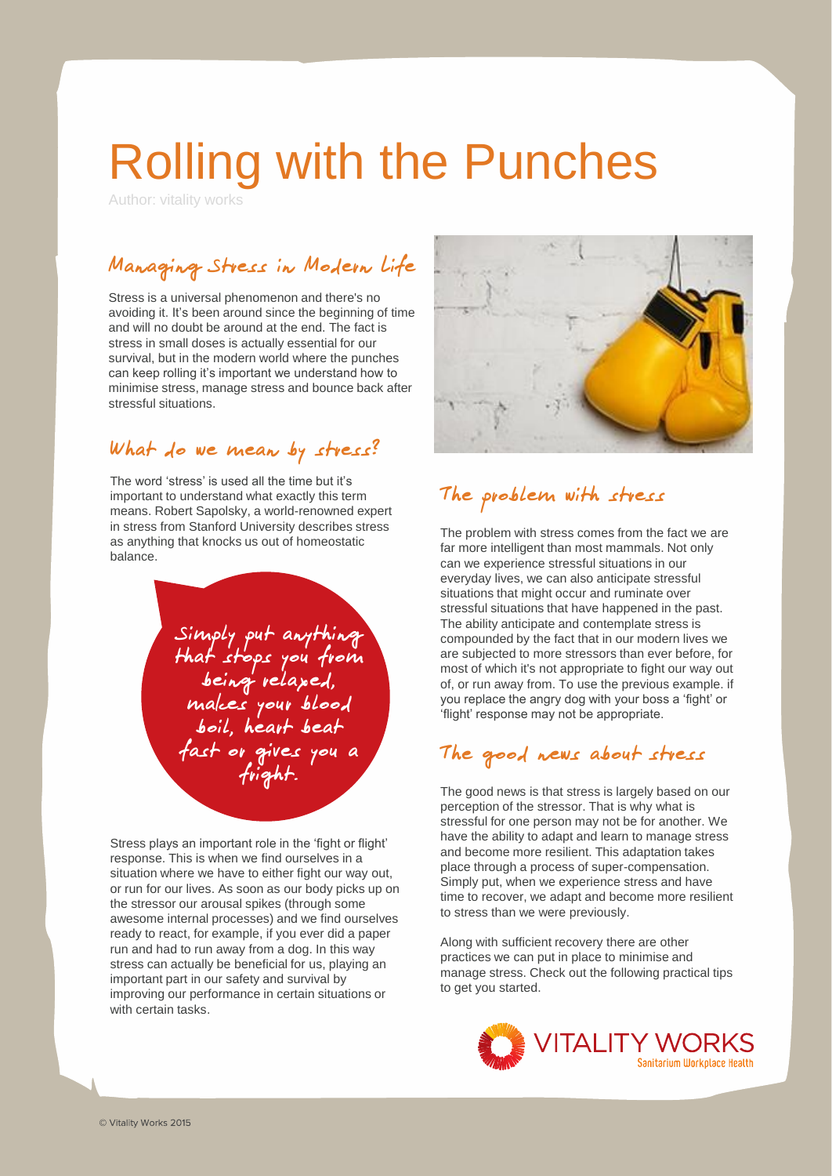# Rolling with the Punches

Author: vitality works

# Managing Stress in Modern Life

Stress is a universal phenomenon and there's no avoiding it. It's been around since the beginning of time and will no doubt be around at the end. The fact is stress in small doses is actually essential for our survival, but in the modern world where the punches can keep rolling it's important we understand how to minimise stress, manage stress and bounce back after stressful situations.

### What do we mean by stress?

The word 'stress' is used all the time but it's important to understand what exactly this term means. Robert Sapolsky, a world-renowned expert in stress from Stanford University describes stress as anything that knocks us out of homeostatic balance.

> Simply put anything that stops you from being relaxed, makes your blood boil, heart beat fast or gives you a fright.

Stress plays an important role in the 'fight or flight' response. This is when we find ourselves in a situation where we have to either fight our way out, or run for our lives. As soon as our body picks up on the stressor our arousal spikes (through some awesome internal processes) and we find ourselves ready to react, for example, if you ever did a paper run and had to run away from a dog. In this way stress can actually be beneficial for us, playing an important part in our safety and survival by improving our performance in certain situations or with certain tasks.



## The problem with stress

The problem with stress comes from the fact we are far more intelligent than most mammals. Not only can we experience stressful situations in our everyday lives, we can also anticipate stressful situations that might occur and ruminate over stressful situations that have happened in the past. The ability anticipate and contemplate stress is compounded by the fact that in our modern lives we are subjected to more stressors than ever before, for most of which it's not appropriate to fight our way out of, or run away from. To use the previous example. if you replace the angry dog with your boss a 'fight' or 'flight' response may not be appropriate.

## The good news about stress

The good news is that stress is largely based on our perception of the stressor. That is why what is stressful for one person may not be for another. We have the ability to adapt and learn to manage stress and become more resilient. This adaptation takes place through a process of super-compensation. Simply put, when we experience stress and have time to recover, we adapt and become more resilient to stress than we were previously.

Along with sufficient recovery there are other practices we can put in place to minimise and manage stress. Check out the following practical tips to get you started.